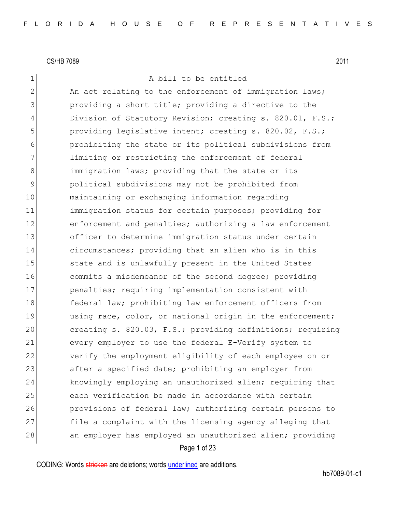1 A bill to be entitled

2 An act relating to the enforcement of immigration laws; 3 3 providing a short title; providing a directive to the 4 Division of Statutory Revision; creating s. 820.01, F.S.; 5 **providing legislative intent; creating s. 820.02, F.S.;** 6 prohibiting the state or its political subdivisions from 7 1imiting or restricting the enforcement of federal 8 immigration laws; providing that the state or its 9 political subdivisions may not be prohibited from 10 maintaining or exchanging information regarding 11 immigration status for certain purposes; providing for 12 enforcement and penalties; authorizing a law enforcement 13 officer to determine immigration status under certain 14 circumstances; providing that an alien who is in this 15 State and is unlawfully present in the United States 16 commits a misdemeanor of the second degree; providing 17 penalties; requiring implementation consistent with 18 federal law; prohibiting law enforcement officers from 19 using race, color, or national origin in the enforcement; 20 creating s. 820.03, F.S.; providing definitions; requiring 21 every employer to use the federal E-Verify system to 22 verify the employment eligibility of each employee on or 23 after a specified date; prohibiting an employer from 24 knowingly employing an unauthorized alien; requiring that 25 each verification be made in accordance with certain 26 provisions of federal law; authorizing certain persons to 27 file a complaint with the licensing agency alleging that 28 an employer has employed an unauthorized alien; providing

Page 1 of 23

CODING: Words stricken are deletions; words underlined are additions.

hb7089-01-c1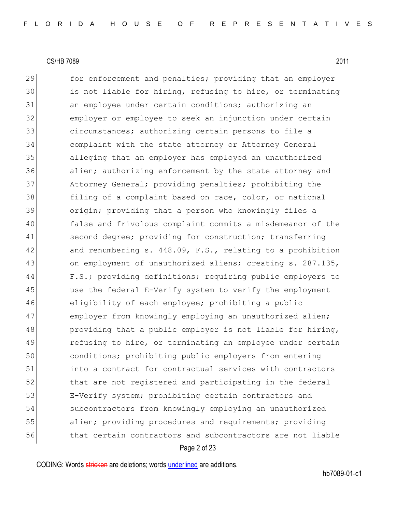29 for enforcement and penalties; providing that an employer 30 is not liable for hiring, refusing to hire, or terminating 31 an employee under certain conditions; authorizing an 32 employer or employee to seek an injunction under certain 33 31 circumstances; authorizing certain persons to file a 34 complaint with the state attorney or Attorney General 35 alleging that an employer has employed an unauthorized 36 alien; authorizing enforcement by the state attorney and 37 Attorney General; providing penalties; prohibiting the 38 filing of a complaint based on race, color, or national 39 origin; providing that a person who knowingly files a 40 false and frivolous complaint commits a misdemeanor of the 41 second degree; providing for construction; transferring 42 and renumbering s. 448.09, F.S., relating to a prohibition 43 on employment of unauthorized aliens; creating s. 287.135, 44 F.S.; providing definitions; requiring public employers to 45 use the federal E-Verify system to verify the employment 46 eligibility of each employee; prohibiting a public 47 employer from knowingly employing an unauthorized alien; 48 providing that a public employer is not liable for hiring, 49 refusing to hire, or terminating an employee under certain 50 conditions; prohibiting public employers from entering 51 into a contract for contractual services with contractors 52 that are not registered and participating in the federal 53 E-Verify system; prohibiting certain contractors and 54 subcontractors from knowingly employing an unauthorized 55 alien; providing procedures and requirements; providing 56 that certain contractors and subcontractors are not liable

#### Page 2 of 23

CODING: Words stricken are deletions; words underlined are additions.

hb7089-01-c1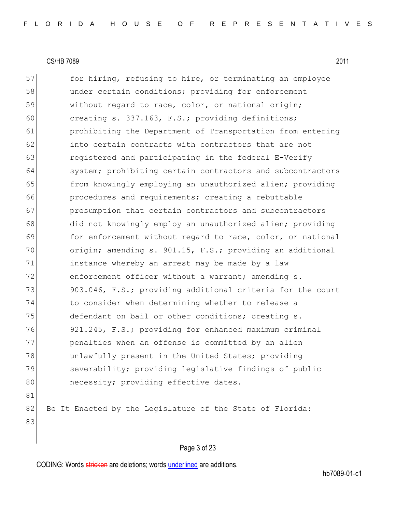57 for hiring, refusing to hire, or terminating an employee 58 under certain conditions; providing for enforcement 59 without regard to race, color, or national origin; 60 creating s. 337.163, F.S.; providing definitions; 61 **prohibiting the Department of Transportation from entering** 62 into certain contracts with contractors that are not 63 registered and participating in the federal E-Verify 64 system; prohibiting certain contractors and subcontractors 65 from knowingly employing an unauthorized alien; providing 66 **procedures and requirements;** creating a rebuttable 67 **presumption** that certain contractors and subcontractors 68 did not knowingly employ an unauthorized alien; providing 69 for enforcement without regard to race, color, or national 70 origin; amending s. 901.15, F.S.; providing an additional 71 instance whereby an arrest may be made by a law 72 enforcement officer without a warrant; amending s. 73 903.046, F.S.; providing additional criteria for the court 74 to consider when determining whether to release a 75 defendant on bail or other conditions; creating s. 76 921.245, F.S.; providing for enhanced maximum criminal 77 penalties when an offense is committed by an alien 78 unlawfully present in the United States; providing 79 Severability; providing legislative findings of public 80 necessity; providing effective dates. 81 82 Be It Enacted by the Legislature of the State of Florida:

# 83

#### Page 3 of 23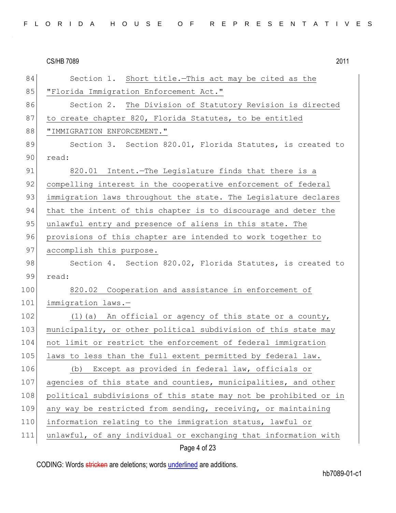| 84  | Section 1. Short title.-This act may be cited as the             |
|-----|------------------------------------------------------------------|
| 85  | "Florida Immigration Enforcement Act."                           |
| 86  | Section 2. The Division of Statutory Revision is directed        |
| 87  | to create chapter 820, Florida Statutes, to be entitled          |
| 88  | "IMMIGRATION ENFORCEMENT."                                       |
| 89  | Section 3. Section 820.01, Florida Statutes, is created to       |
| 90  | read:                                                            |
| 91  | 820.01 Intent. The Legislature finds that there is a             |
| 92  | compelling interest in the cooperative enforcement of federal    |
| 93  | immigration laws throughout the state. The Legislature declares  |
| 94  | that the intent of this chapter is to discourage and deter the   |
| 95  | unlawful entry and presence of aliens in this state. The         |
| 96  | provisions of this chapter are intended to work together to      |
| 97  | accomplish this purpose.                                         |
| 98  | Section 4. Section 820.02, Florida Statutes, is created to       |
| 99  | read:                                                            |
| 100 | 820.02 Cooperation and assistance in enforcement of              |
| 101 | immigration laws.-                                               |
| 102 | (1) (a) An official or agency of this state or a county,         |
| 103 | municipality, or other political subdivision of this state may   |
| 104 | not limit or restrict the enforcement of federal immigration     |
| 105 | laws to less than the full extent permitted by federal law.      |
| 106 | (b) Except as provided in federal law, officials or              |
| 107 | agencies of this state and counties, municipalities, and other   |
| 108 | political subdivisions of this state may not be prohibited or in |
| 109 | any way be restricted from sending, receiving, or maintaining    |
| 110 | information relating to the immigration status, lawful or        |
| 111 | unlawful, of any individual or exchanging that information with  |
|     |                                                                  |

# Page 4 of 23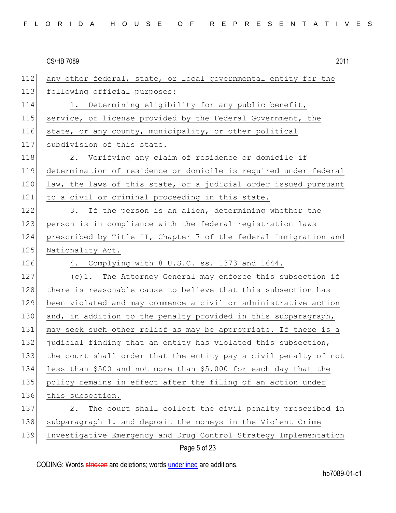| 112 | any other federal, state, or local governmental entity for the   |
|-----|------------------------------------------------------------------|
| 113 | following official purposes:                                     |
| 114 | 1. Determining eligibility for any public benefit,               |
| 115 | service, or license provided by the Federal Government, the      |
| 116 | state, or any county, municipality, or other political           |
| 117 | subdivision of this state.                                       |
| 118 | 2. Verifying any claim of residence or domicile if               |
| 119 | determination of residence or domicile is required under federal |
| 120 | law, the laws of this state, or a judicial order issued pursuant |
| 121 | to a civil or criminal proceeding in this state.                 |
| 122 | 3. If the person is an alien, determining whether the            |
| 123 | person is in compliance with the federal registration laws       |
| 124 | prescribed by Title II, Chapter 7 of the federal Immigration and |
| 125 | Nationality Act.                                                 |
| 126 | 4. Complying with 8 U.S.C. ss. 1373 and 1644.                    |
| 127 | (c)1. The Attorney General may enforce this subsection if        |
| 128 | there is reasonable cause to believe that this subsection has    |
| 129 | been violated and may commence a civil or administrative action  |
| 130 | and, in addition to the penalty provided in this subparagraph,   |
| 131 | may seek such other relief as may be appropriate. If there is a  |
| 132 | judicial finding that an entity has violated this subsection,    |
| 133 | the court shall order that the entity pay a civil penalty of not |
| 134 | less than \$500 and not more than \$5,000 for each day that the  |
| 135 | policy remains in effect after the filing of an action under     |
| 136 | this subsection.                                                 |
| 137 | The court shall collect the civil penalty prescribed in<br>2.    |
| 138 | subparagraph 1. and deposit the moneys in the Violent Crime      |
| 139 | Investigative Emergency and Drug Control Strategy Implementation |
|     | Page 5 of 23                                                     |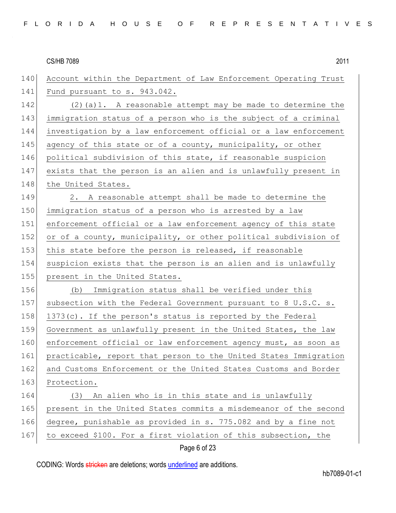| 140 | Account within the Department of Law Enforcement Operating Trust |
|-----|------------------------------------------------------------------|
| 141 | Fund pursuant to s. 943.042.                                     |
| 142 | $(2)$ (a) 1. A reasonable attempt may be made to determine the   |
| 143 | immigration status of a person who is the subject of a criminal  |
| 144 | investigation by a law enforcement official or a law enforcement |
| 145 | agency of this state or of a county, municipality, or other      |
| 146 | political subdivision of this state, if reasonable suspicion     |
| 147 | exists that the person is an alien and is unlawfully present in  |
| 148 | the United States.                                               |
| 149 | 2. A reasonable attempt shall be made to determine the           |
| 150 | immigration status of a person who is arrested by a law          |
| 151 | enforcement official or a law enforcement agency of this state   |
| 152 | or of a county, municipality, or other political subdivision of  |
| 153 | this state before the person is released, if reasonable          |
| 154 | suspicion exists that the person is an alien and is unlawfully   |
| 155 | present in the United States.                                    |
| 156 | Immigration status shall be verified under this<br>(b)           |
| 157 | subsection with the Federal Government pursuant to 8 U.S.C. s.   |
| 158 | $1373(c)$ . If the person's status is reported by the Federal    |
| 159 | Government as unlawfully present in the United States, the law   |
| 160 | enforcement official or law enforcement agency must, as soon as  |
| 161 | practicable, report that person to the United States Immigration |
| 162 | and Customs Enforcement or the United States Customs and Border  |
| 163 | Protection.                                                      |
| 164 | An alien who is in this state and is unlawfully<br>(3)           |
| 165 | present in the United States commits a misdemeanor of the second |
| 166 | degree, punishable as provided in s. 775.082 and by a fine not   |
| 167 | to exceed \$100. For a first violation of this subsection, the   |
|     |                                                                  |

Page 6 of 23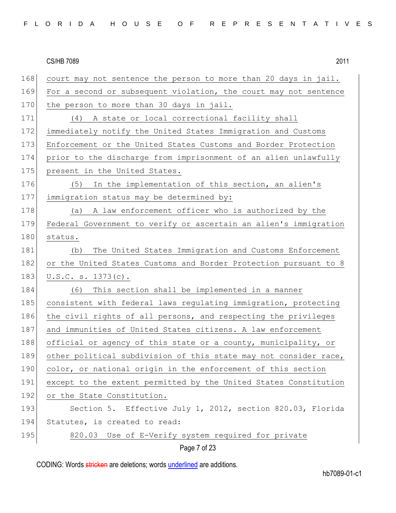| FLORIDA HOUSE OF REPRESENTATIVES |  |
|----------------------------------|--|
|----------------------------------|--|

| 168 | court may not sentence the person to more than 20 days in jail.  |
|-----|------------------------------------------------------------------|
| 169 | For a second or subsequent violation, the court may not sentence |
| 170 | the person to more than 30 days in jail.                         |
| 171 | (4) A state or local correctional facility shall                 |
| 172 | immediately notify the United States Immigration and Customs     |
| 173 | Enforcement or the United States Customs and Border Protection   |
| 174 | prior to the discharge from imprisonment of an alien unlawfully  |
| 175 | present in the United States.                                    |
| 176 | (5)<br>In the implementation of this section, an alien's         |
| 177 | immigration status may be determined by:                         |
| 178 | (a) A law enforcement officer who is authorized by the           |
| 179 | Federal Government to verify or ascertain an alien's immigration |
| 180 | status.                                                          |
| 181 | The United States Immigration and Customs Enforcement<br>(b)     |
| 182 | or the United States Customs and Border Protection pursuant to 8 |
| 183 | $U.S.C. s. 1373(c)$ .                                            |
| 184 | This section shall be implemented in a manner<br>(6)             |
| 185 | consistent with federal laws regulating immigration, protecting  |
| 186 | the civil rights of all persons, and respecting the privileges   |
| 187 | and immunities of United States citizens. A law enforcement      |
| 188 | official or agency of this state or a county, municipality, or   |
| 189 | other political subdivision of this state may not consider race, |
| 190 | color, or national origin in the enforcement of this section     |
| 191 | except to the extent permitted by the United States Constitution |
|     |                                                                  |
| 192 | or the State Constitution.                                       |
| 193 | Section 5. Effective July 1, 2012, section 820.03, Florida       |
| 194 | Statutes, is created to read:                                    |
| 195 | 820.03 Use of E-Verify system required for private               |

Page 7 of 23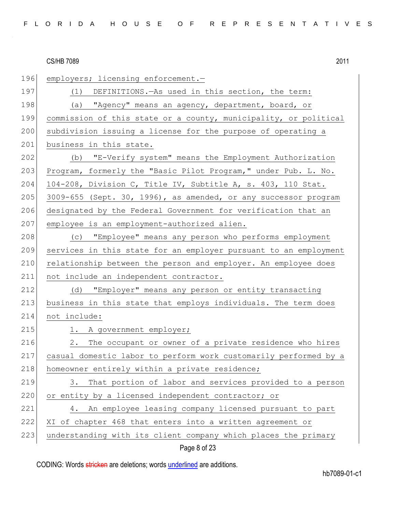| 196 | employers; licensing enforcement.-                               |
|-----|------------------------------------------------------------------|
| 197 | (1) DEFINITIONS. - As used in this section, the term:            |
| 198 | (a) "Agency" means an agency, department, board, or              |
| 199 | commission of this state or a county, municipality, or political |
| 200 | subdivision issuing a license for the purpose of operating a     |
| 201 | business in this state.                                          |
| 202 | (b) "E-Verify system" means the Employment Authorization         |
| 203 | Program, formerly the "Basic Pilot Program," under Pub. L. No.   |
| 204 | 104-208, Division C, Title IV, Subtitle A, s. 403, 110 Stat.     |
| 205 | 3009-655 (Sept. 30, 1996), as amended, or any successor program  |
| 206 | designated by the Federal Government for verification that an    |
| 207 | employee is an employment-authorized alien.                      |
| 208 | (c) "Employee" means any person who performs employment          |
| 209 | services in this state for an employer pursuant to an employment |
| 210 | relationship between the person and employer. An employee does   |
| 211 | not include an independent contractor.                           |
| 212 | (d) "Employer" means any person or entity transacting            |
| 213 | business in this state that employs individuals. The term does   |
| 214 | not include:                                                     |
| 215 | 1. A government employer;                                        |
| 216 | The occupant or owner of a private residence who hires<br>2.     |
| 217 | casual domestic labor to perform work customarily performed by a |
| 218 | homeowner entirely within a private residence;                   |
| 219 | That portion of labor and services provided to a person<br>3.    |
| 220 | or entity by a licensed independent contractor; or               |
| 221 | An employee leasing company licensed pursuant to part<br>4.      |
| 222 | XI of chapter 468 that enters into a written agreement or        |
| 223 | understanding with its client company which places the primary   |
|     | Page 8 of 23                                                     |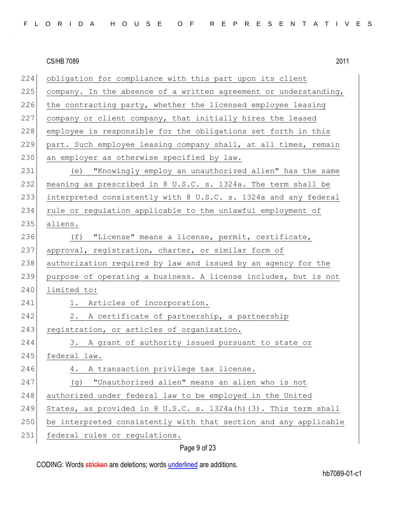| 224 | obligation for compliance with this part upon its client         |
|-----|------------------------------------------------------------------|
| 225 | company. In the absence of a written agreement or understanding, |
| 226 | the contracting party, whether the licensed employee leasing     |
| 227 | company or client company, that initially hires the leased       |
| 228 | employee is responsible for the obligations set forth in this    |
| 229 | part. Such employee leasing company shall, at all times, remain  |
| 230 | an employer as otherwise specified by law.                       |
| 231 | "Knowingly employ an unauthorized alien" has the same<br>(e)     |
| 232 | meaning as prescribed in 8 U.S.C. s. 1324a. The term shall be    |
| 233 | interpreted consistently with 8 U.S.C. s. 1324a and any federal  |
| 234 | rule or regulation applicable to the unlawful employment of      |
| 235 | aliens.                                                          |
| 236 | "License" means a license, permit, certificate,<br>(f)           |
| 237 | approval, registration, charter, or similar form of              |
| 238 | authorization required by law and issued by an agency for the    |
| 239 | purpose of operating a business. A license includes, but is not  |
| 240 | limited to:                                                      |
| 241 | 1. Articles of incorporation.                                    |
| 242 | 2.<br>A certificate of partnership, a partnership                |
| 243 | registration, or articles of organization.                       |
| 244 | 3. A grant of authority issued pursuant to state or              |
| 245 | federal law.                                                     |
| 246 | A transaction privilege tax license.<br>4.                       |
| 247 | "Unauthorized alien" means an alien who is not<br>(g)            |
| 248 | authorized under federal law to be employed in the United        |
| 249 | States, as provided in 8 U.S.C. s. 1324a(h) (3). This term shall |
| 250 | be interpreted consistently with that section and any applicable |
| 251 | federal rules or regulations.                                    |

# Page 9 of 23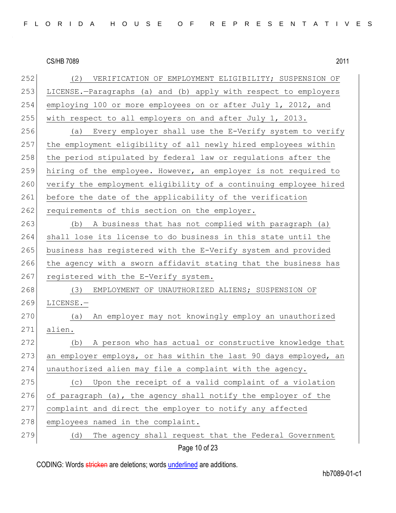| (2)<br>VERIFICATION OF EMPLOYMENT ELIGIBILITY; SUSPENSION OF     |
|------------------------------------------------------------------|
| LICENSE.-Paragraphs (a) and (b) apply with respect to employers  |
| employing 100 or more employees on or after July 1, 2012, and    |
|                                                                  |
| with respect to all employers on and after July 1, 2013.         |
| Every employer shall use the E-Verify system to verify<br>(a)    |
| the employment eligibility of all newly hired employees within   |
| the period stipulated by federal law or regulations after the    |
| hiring of the employee. However, an employer is not required to  |
| verify the employment eligibility of a continuing employee hired |
| before the date of the applicability of the verification         |
| requirements of this section on the employer.                    |
| A business that has not complied with paragraph (a)<br>(b)       |
| shall lose its license to do business in this state until the    |
| business has registered with the E-Verify system and provided    |
| the agency with a sworn affidavit stating that the business has  |
| registered with the E-Verify system.                             |
| (3)<br>EMPLOYMENT OF UNAUTHORIZED ALIENS; SUSPENSION OF          |
| LICENSE.-                                                        |
| An employer may not knowingly employ an unauthorized<br>(a)      |
| alien.                                                           |
| A person who has actual or constructive knowledge that<br>(b)    |
| an employer employs, or has within the last 90 days employed, an |
| unauthorized alien may file a complaint with the agency.         |
| (c) Upon the receipt of a valid complaint of a violation         |
| of paragraph (a), the agency shall notify the employer of the    |
| complaint and direct the employer to notify any affected         |
| employees named in the complaint.                                |
| The agency shall request that the Federal Government<br>(d)      |
|                                                                  |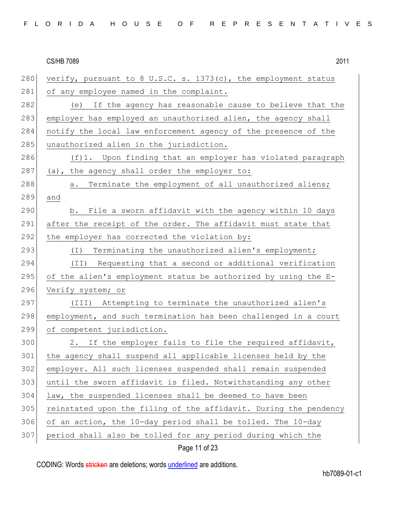280 verify, pursuant to 8 U.S.C. s. 1373(c), the employment status 281 of any employee named in the complaint. 282 (e) If the agency has reasonable cause to believe that the 283 employer has employed an unauthorized alien, the agency shall 284 notify the local law enforcement agency of the presence of the 285 unauthorized alien in the jurisdiction. 286  $(f)$ 1. Upon finding that an employer has violated paragraph 287 (a), the agency shall order the employer to: 288 a. Terminate the employment of all unauthorized aliens; 289 and 290 b. File a sworn affidavit with the agency within 10 days 291 after the receipt of the order. The affidavit must state that 292 the employer has corrected the violation by: 293 (I) Terminating the unauthorized alien's employment; 294 (II) Requesting that a second or additional verification 295 of the alien's employment status be authorized by using the  $E-$ 296 Verify system; or 297 (III) Attempting to terminate the unauthorized alien's 298 employment, and such termination has been challenged in a court 299 of competent jurisdiction. 300 2. If the employer fails to file the required affidavit, 301 the agency shall suspend all applicable licenses held by the 302 employer. All such licenses suspended shall remain suspended 303 until the sworn affidavit is filed. Notwithstanding any other 304 law, the suspended licenses shall be deemed to have been 305 reinstated upon the filing of the affidavit. During the pendency  $306$  of an action, the 10-day period shall be tolled. The 10-day 307 period shall also be tolled for any period during which the

# Page 11 of 23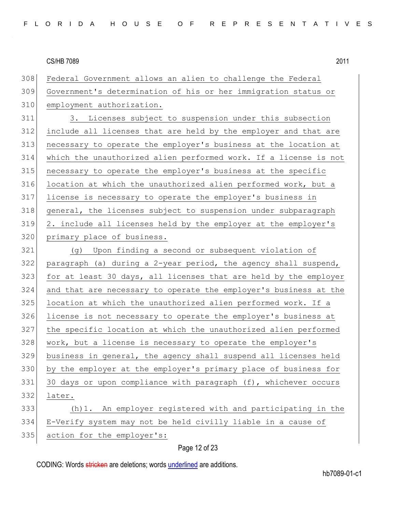| 308 | Federal Government allows an alien to challenge the Federal      |
|-----|------------------------------------------------------------------|
| 309 | Government's determination of his or her immigration status or   |
| 310 | employment authorization.                                        |
| 311 | 3. Licenses subject to suspension under this subsection          |
| 312 | include all licenses that are held by the employer and that are  |
| 313 | necessary to operate the employer's business at the location at  |
| 314 | which the unauthorized alien performed work. If a license is not |
| 315 | necessary to operate the employer's business at the specific     |
| 316 | location at which the unauthorized alien performed work, but a   |
| 317 | license is necessary to operate the employer's business in       |
| 318 | general, the licenses subject to suspension under subparagraph   |
| 319 | 2. include all licenses held by the employer at the employer's   |
| 320 | primary place of business.                                       |
| 321 | (g) Upon finding a second or subsequent violation of             |
| 322 | paragraph (a) during a 2-year period, the agency shall suspend,  |
| 323 | for at least 30 days, all licenses that are held by the employer |
| 324 | and that are necessary to operate the employer's business at the |
| 325 | location at which the unauthorized alien performed work. If a    |
| 326 | license is not necessary to operate the employer's business at   |
| 327 | the specific location at which the unauthorized alien performed  |
| 328 | work, but a license is necessary to operate the employer's       |
| 329 | business in general, the agency shall suspend all licenses held  |
| 330 | by the employer at the employer's primary place of business for  |
| 331 | 30 days or upon compliance with paragraph (f), whichever occurs  |
| 332 | later.                                                           |
|     |                                                                  |
| 333 | (h) 1. An employer registered with and participating in the      |
| 334 | E-Verify system may not be held civilly liable in a cause of     |

# Page 12 of 23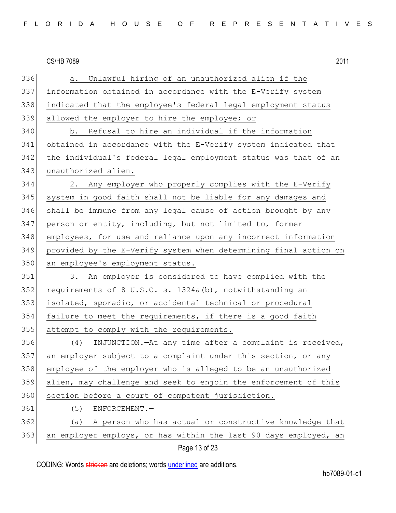| 336 | Unlawful hiring of an unauthorized alien if the<br>a.            |
|-----|------------------------------------------------------------------|
| 337 | information obtained in accordance with the E-Verify system      |
| 338 | indicated that the employee's federal legal employment status    |
| 339 | allowed the employer to hire the employee; or                    |
| 340 | b. Refusal to hire an individual if the information              |
| 341 | obtained in accordance with the E-Verify system indicated that   |
| 342 | the individual's federal legal employment status was that of an  |
| 343 | unauthorized alien.                                              |
| 344 | 2. Any employer who properly complies with the E-Verify          |
| 345 | system in good faith shall not be liable for any damages and     |
| 346 | shall be immune from any legal cause of action brought by any    |
| 347 | person or entity, including, but not limited to, former          |
| 348 | employees, for use and reliance upon any incorrect information   |
| 349 | provided by the E-Verify system when determining final action on |
| 350 | an employee's employment status.                                 |
| 351 | 3. An employer is considered to have complied with the           |
| 352 | requirements of 8 U.S.C. s. 1324a(b), notwithstanding an         |
| 353 | isolated, sporadic, or accidental technical or procedural        |
| 354 | failure to meet the requirements, if there is a good faith       |
| 355 | attempt to comply with the requirements.                         |
| 356 | INJUNCTION.-At any time after a complaint is received,<br>(4)    |
| 357 | an employer subject to a complaint under this section, or any    |
| 358 | employee of the employer who is alleged to be an unauthorized    |
| 359 | alien, may challenge and seek to enjoin the enforcement of this  |
| 360 | section before a court of competent jurisdiction.                |
| 361 | (5)<br>ENFORCEMENT.-                                             |
| 362 | A person who has actual or constructive knowledge that<br>(a)    |
| 363 | an employer employs, or has within the last 90 days employed, an |
|     | Page 13 of 23                                                    |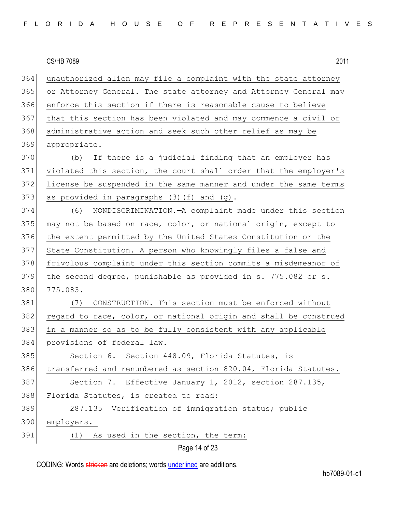| FLORIDA HOUSE OF REPRESENTATIVES |  |
|----------------------------------|--|
|----------------------------------|--|

Page 14 of 23 364 unauthorized alien may file a complaint with the state attorney 365 or Attorney General. The state attorney and Attorney General may 366 enforce this section if there is reasonable cause to believe 367 that this section has been violated and may commence a civil or 368 administrative action and seek such other relief as may be 369 appropriate. 370 (b) If there is a judicial finding that an employer has 371 violated this section, the court shall order that the employer's 372 license be suspended in the same manner and under the same terms 373 as provided in paragraphs  $(3)(f)$  and  $(g)$ . 374 (6) NONDISCRIMINATION.—A complaint made under this section 375 may not be based on race, color, or national origin, except to 376 the extent permitted by the United States Constitution or the 377 State Constitution. A person who knowingly files a false and 378 frivolous complaint under this section commits a misdemeanor of 379 the second degree, punishable as provided in s. 775.082 or s. 380 775.083. 381 (7) CONSTRUCTION.—This section must be enforced without 382 regard to race, color, or national origin and shall be construed 383 in a manner so as to be fully consistent with any applicable 384 provisions of federal law. 385 Section 6. Section 448.09, Florida Statutes, is 386 transferred and renumbered as section 820.04, Florida Statutes. 387 Section 7. Effective January 1, 2012, section 287.135, 388 Florida Statutes, is created to read: 389 287.135 Verification of immigration status; public 390 employers.— 391 (1) As used in the section, the term: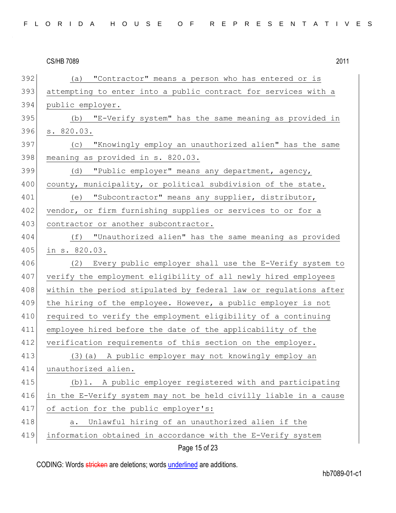| 392 | (a) "Contractor" means a person who has entered or is            |
|-----|------------------------------------------------------------------|
| 393 | attempting to enter into a public contract for services with a   |
| 394 | public employer.                                                 |
| 395 | (b) "E-Verify system" has the same meaning as provided in        |
| 396 | s. 820.03.                                                       |
| 397 | "Knowingly employ an unauthorized alien" has the same<br>(C)     |
| 398 | meaning as provided in s. 820.03.                                |
| 399 | "Public employer" means any department, agency,<br>(d)           |
| 400 | county, municipality, or political subdivision of the state.     |
| 401 | "Subcontractor" means any supplier, distributor,<br>(e)          |
| 402 | vendor, or firm furnishing supplies or services to or for a      |
| 403 | contractor or another subcontractor.                             |
| 404 | (f) "Unauthorized alien" has the same meaning as provided        |
| 405 | in s. 820.03.                                                    |
| 406 | Every public employer shall use the E-Verify system to<br>(2)    |
| 407 | verify the employment eligibility of all newly hired employees   |
| 408 | within the period stipulated by federal law or regulations after |
| 409 | the hiring of the employee. However, a public employer is not    |
| 410 | required to verify the employment eligibility of a continuing    |
| 411 | employee hired before the date of the applicability of the       |
| 412 | verification requirements of this section on the employer.       |
| 413 | (3) (a) A public employer may not knowingly employ an            |
| 414 | unauthorized alien.                                              |
| 415 | (b) 1. A public employer registered with and participating       |
| 416 | in the E-Verify system may not be held civilly liable in a cause |
| 417 | of action for the public employer's:                             |
| 418 | Unlawful hiring of an unauthorized alien if the<br>a.            |
| 419 | information obtained in accordance with the E-Verify system      |
|     |                                                                  |

Page 15 of 23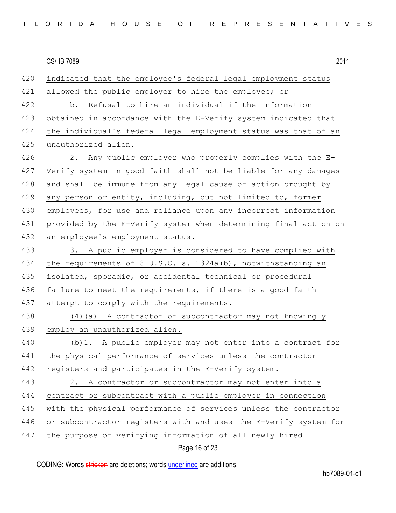420 indicated that the employee's federal legal employment status 421 allowed the public employer to hire the employee; or 422 b. Refusal to hire an individual if the information 423 obtained in accordance with the E-Verify system indicated that 424 the individual's federal legal employment status was that of an 425 unauthorized alien. 426 2. Any public employer who properly complies with the E-427 Verify system in good faith shall not be liable for any damages 428 and shall be immune from any legal cause of action brought by 429 any person or entity, including, but not limited to, former 430 employees, for use and reliance upon any incorrect information 431 provided by the E-Verify system when determining final action on 432 an employee's employment status. 433 3. A public employer is considered to have complied with 434 the requirements of 8 U.S.C. s. 1324a(b), notwithstanding an 435 isolated, sporadic, or accidental technical or procedural 436 failure to meet the requirements, if there is a good faith 437 attempt to comply with the requirements. 438 (4) (a) A contractor or subcontractor may not knowingly 439 employ an unauthorized alien. 440 (b) 1. A public employer may not enter into a contract for 441 the physical performance of services unless the contractor 442 registers and participates in the E-Verify system. 443 2. A contractor or subcontractor may not enter into a 444 contract or subcontract with a public employer in connection 445 with the physical performance of services unless the contractor 446 or subcontractor registers with and uses the E-Verify system for 447 the purpose of verifying information of all newly hired

Page 16 of 23

CODING: Words stricken are deletions; words underlined are additions.

hb7089-01-c1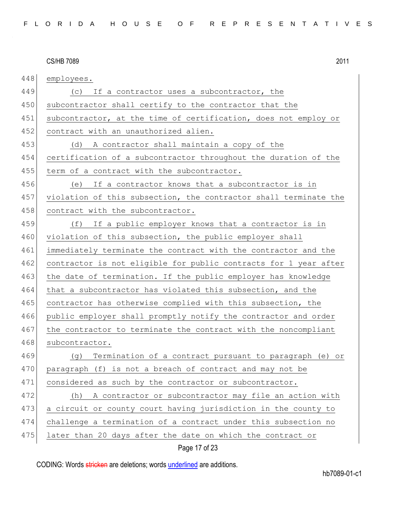| 448 | employees.                                                       |
|-----|------------------------------------------------------------------|
| 449 | If a contractor uses a subcontractor, the<br>(C)                 |
| 450 | subcontractor shall certify to the contractor that the           |
| 451 | subcontractor, at the time of certification, does not employ or  |
| 452 | contract with an unauthorized alien.                             |
| 453 | A contractor shall maintain a copy of the<br>(d)                 |
| 454 | certification of a subcontractor throughout the duration of the  |
| 455 | term of a contract with the subcontractor.                       |
| 456 | If a contractor knows that a subcontractor is in<br>(e)          |
| 457 | violation of this subsection, the contractor shall terminate the |
| 458 | contract with the subcontractor.                                 |
| 459 | If a public employer knows that a contractor is in<br>(f)        |
| 460 | violation of this subsection, the public employer shall          |
| 461 | immediately terminate the contract with the contractor and the   |
| 462 | contractor is not eligible for public contracts for 1 year after |
| 463 | the date of termination. If the public employer has knowledge    |
| 464 | that a subcontractor has violated this subsection, and the       |
| 465 | contractor has otherwise complied with this subsection, the      |
| 466 | public employer shall promptly notify the contractor and order   |
| 467 | the contractor to terminate the contract with the noncompliant   |
| 468 | subcontractor.                                                   |
| 469 | Termination of a contract pursuant to paragraph (e) or<br>(g)    |
| 470 | paragraph (f) is not a breach of contract and may not be         |
| 471 | considered as such by the contractor or subcontractor.           |
| 472 | A contractor or subcontractor may file an action with<br>(h)     |
| 473 | a circuit or county court having jurisdiction in the county to   |
| 474 | challenge a termination of a contract under this subsection no   |
| 475 | later than 20 days after the date on which the contract or       |

# Page 17 of 23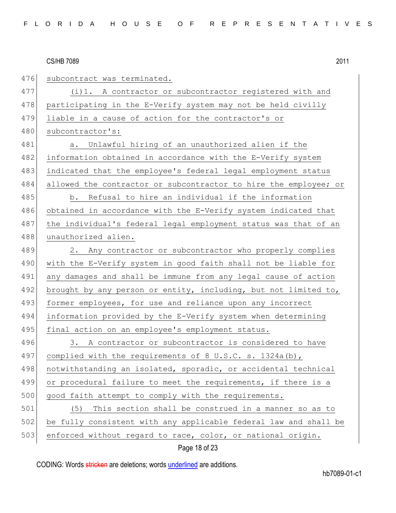| 476 | subcontract was terminated.                                      |
|-----|------------------------------------------------------------------|
| 477 | (i) 1. A contractor or subcontractor registered with and         |
| 478 | participating in the E-Verify system may not be held civilly     |
| 479 | liable in a cause of action for the contractor's or              |
| 480 | subcontractor's:                                                 |
| 481 | Unlawful hiring of an unauthorized alien if the<br>a.            |
| 482 | information obtained in accordance with the E-Verify system      |
| 483 | indicated that the employee's federal legal employment status    |
| 484 | allowed the contractor or subcontractor to hire the employee; or |
| 485 | b. Refusal to hire an individual if the information              |
| 486 | obtained in accordance with the E-Verify system indicated that   |
| 487 | the individual's federal legal employment status was that of an  |
| 488 | unauthorized alien.                                              |
| 489 | Any contractor or subcontractor who properly complies<br>2.      |
| 490 | with the E-Verify system in good faith shall not be liable for   |
| 491 | any damages and shall be immune from any legal cause of action   |
| 492 | brought by any person or entity, including, but not limited to,  |
| 493 | former employees, for use and reliance upon any incorrect        |
| 494 | information provided by the E-Verify system when determining     |
| 495 | final action on an employee's employment status.                 |
| 496 | A contractor or subcontractor is considered to have<br>3.        |
| 497 | complied with the requirements of 8 U.S.C. s. $1324a(b)$ ,       |
| 498 | notwithstanding an isolated, sporadic, or accidental technical   |
| 499 | or procedural failure to meet the requirements, if there is a    |
| 500 | good faith attempt to comply with the requirements.              |
| 501 | (5)<br>This section shall be construed in a manner so as to      |
| 502 | be fully consistent with any applicable federal law and shall be |
| 503 | enforced without regard to race, color, or national origin.      |
|     |                                                                  |

# Page 18 of 23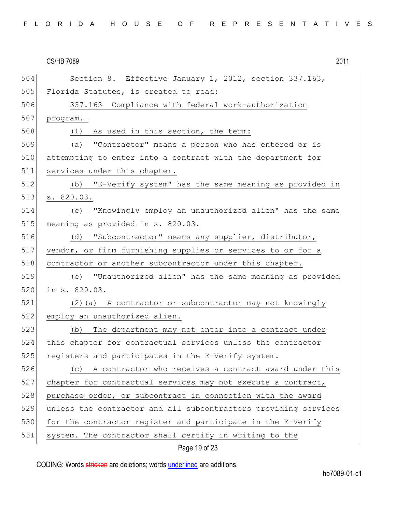| 504 | Section 8. Effective January 1, 2012, section 337.163,          |
|-----|-----------------------------------------------------------------|
| 505 | Florida Statutes, is created to read:                           |
| 506 | 337.163 Compliance with federal work-authorization              |
| 507 | program.-                                                       |
| 508 | As used in this section, the term:<br>(1)                       |
| 509 | "Contractor" means a person who has entered or is<br>(a)        |
| 510 | attempting to enter into a contract with the department for     |
| 511 | services under this chapter.                                    |
| 512 | (b) "E-Verify system" has the same meaning as provided in       |
| 513 | s. 820.03.                                                      |
| 514 | "Knowingly employ an unauthorized alien" has the same<br>(C)    |
| 515 | meaning as provided in s. 820.03.                               |
| 516 | (d) "Subcontractor" means any supplier, distributor,            |
| 517 | vendor, or firm furnishing supplies or services to or for a     |
| 518 | contractor or another subcontractor under this chapter.         |
| 519 | (e) "Unauthorized alien" has the same meaning as provided       |
| 520 | in s. 820.03.                                                   |
| 521 | (2) (a) A contractor or subcontractor may not knowingly         |
| 522 | employ an unauthorized alien.                                   |
| 523 | The department may not enter into a contract under<br>(b)       |
| 524 | this chapter for contractual services unless the contractor     |
| 525 | registers and participates in the E-Verify system.              |
| 526 | (c) A contractor who receives a contract award under this       |
| 527 | chapter for contractual services may not execute a contract,    |
| 528 | purchase order, or subcontract in connection with the award     |
| 529 | unless the contractor and all subcontractors providing services |
| 530 | for the contractor register and participate in the E-Verify     |
| 531 | system. The contractor shall certify in writing to the          |

Page 19 of 23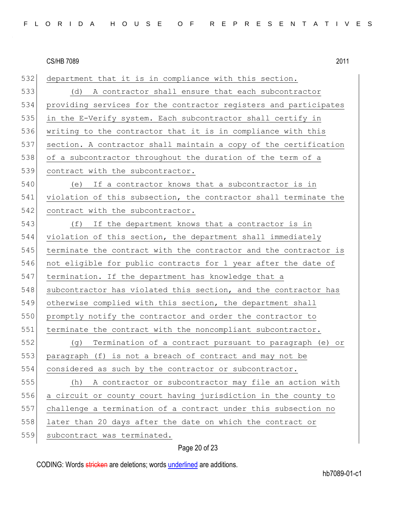| 532 | department that it is in compliance with this section.           |
|-----|------------------------------------------------------------------|
| 533 | A contractor shall ensure that each subcontractor<br>(d)         |
| 534 | providing services for the contractor registers and participates |
| 535 | in the E-Verify system. Each subcontractor shall certify in      |
| 536 | writing to the contractor that it is in compliance with this     |
| 537 | section. A contractor shall maintain a copy of the certification |
| 538 | of a subcontractor throughout the duration of the term of a      |
| 539 | contract with the subcontractor.                                 |
| 540 | If a contractor knows that a subcontractor is in<br>(e)          |
| 541 | violation of this subsection, the contractor shall terminate the |
| 542 | contract with the subcontractor.                                 |
| 543 | (f)<br>If the department knows that a contractor is in           |
| 544 | violation of this section, the department shall immediately      |
| 545 | terminate the contract with the contractor and the contractor is |
| 546 | not eligible for public contracts for 1 year after the date of   |
| 547 | termination. If the department has knowledge that a              |
| 548 | subcontractor has violated this section, and the contractor has  |
| 549 | otherwise complied with this section, the department shall       |
| 550 | promptly notify the contractor and order the contractor to       |
| 551 | terminate the contract with the noncompliant subcontractor.      |
| 552 | Termination of a contract pursuant to paragraph (e) or<br>(q)    |
| 553 | paragraph (f) is not a breach of contract and may not be         |
| 554 | considered as such by the contractor or subcontractor.           |
| 555 | A contractor or subcontractor may file an action with<br>(h)     |
| 556 | a circuit or county court having jurisdiction in the county to   |
| 557 | challenge a termination of a contract under this subsection no   |
| 558 | later than 20 days after the date on which the contract or       |
| 559 | subcontract was terminated.                                      |

# Page 20 of 23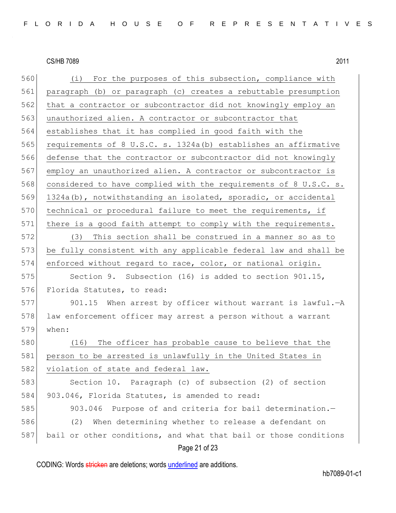| 560 | (i) For the purposes of this subsection, compliance with         |
|-----|------------------------------------------------------------------|
| 561 | paragraph (b) or paragraph (c) creates a rebuttable presumption  |
| 562 | that a contractor or subcontractor did not knowingly employ an   |
| 563 | unauthorized alien. A contractor or subcontractor that           |
| 564 | establishes that it has complied in good faith with the          |
| 565 | requirements of 8 U.S.C. s. 1324a(b) establishes an affirmative  |
| 566 | defense that the contractor or subcontractor did not knowingly   |
| 567 | employ an unauthorized alien. A contractor or subcontractor is   |
| 568 | considered to have complied with the requirements of 8 U.S.C. s. |
| 569 | 1324a(b), notwithstanding an isolated, sporadic, or accidental   |
| 570 | technical or procedural failure to meet the requirements, if     |
| 571 | there is a good faith attempt to comply with the requirements.   |
| 572 | (3) This section shall be construed in a manner so as to         |
| 573 | be fully consistent with any applicable federal law and shall be |
| 574 | enforced without regard to race, color, or national origin.      |
| 575 | Section 9. Subsection (16) is added to section 901.15,           |
| 576 | Florida Statutes, to read:                                       |
| 577 | 901.15 When arrest by officer without warrant is lawful. - A     |
| 578 | law enforcement officer may arrest a person without a warrant    |
| 579 | when:                                                            |
| 580 | (16) The officer has probable cause to believe that the          |
| 581 | person to be arrested is unlawfully in the United States in      |
| 582 | violation of state and federal law.                              |
| 583 | Section 10. Paragraph (c) of subsection (2) of section           |
| 584 | 903.046, Florida Statutes, is amended to read:                   |
| 585 | 903.046<br>Purpose of and criteria for bail determination.-      |
| 586 | When determining whether to release a defendant on<br>(2)        |
| 587 | bail or other conditions, and what that bail or those conditions |
|     | Page 21 of 23                                                    |

CODING: Words stricken are deletions; words underlined are additions.

hb7089-01-c1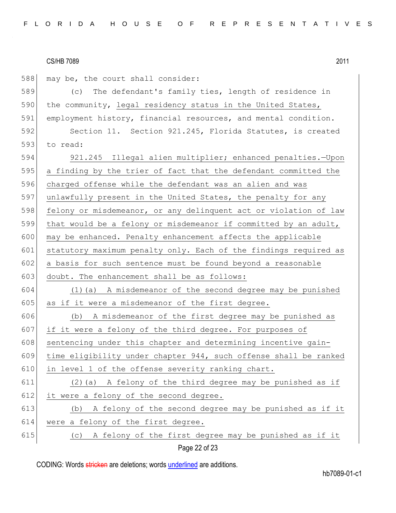Page 22 of 23 588 may be, the court shall consider: 589 (c) The defendant's family ties, length of residence in 590 the community, legal residency status in the United States, 591 employment history, financial resources, and mental condition. 592 Section 11. Section 921.245, Florida Statutes, is created 593 to read: 594 921.245 Illegal alien multiplier; enhanced penalties.—Upon 595 a finding by the trier of fact that the defendant committed the 596 charged offense while the defendant was an alien and was 597 unlawfully present in the United States, the penalty for any 598 felony or misdemeanor, or any delinquent act or violation of law 599 that would be a felony or misdemeanor if committed by an adult, 600 may be enhanced. Penalty enhancement affects the applicable 601 statutory maximum penalty only. Each of the findings required as  $602$  a basis for such sentence must be found beyond a reasonable 603 doubt. The enhancement shall be as follows: 604 (1)(a) A misdemeanor of the second degree may be punished 605 as if it were a misdemeanor of the first degree. 606 (b) A misdemeanor of the first degree may be punished as 607 if it were a felony of the third degree. For purposes of 608 sentencing under this chapter and determining incentive gain-609 time eligibility under chapter 944, such offense shall be ranked 610 in level 1 of the offense severity ranking chart. 611 (2)(a) A felony of the third degree may be punished as if  $612$  it were a felony of the second degree. 613 (b) A felony of the second degree may be punished as if it 614 were a felony of the first degree. 615  $\vert$  (c) A felony of the first degree may be punished as if it